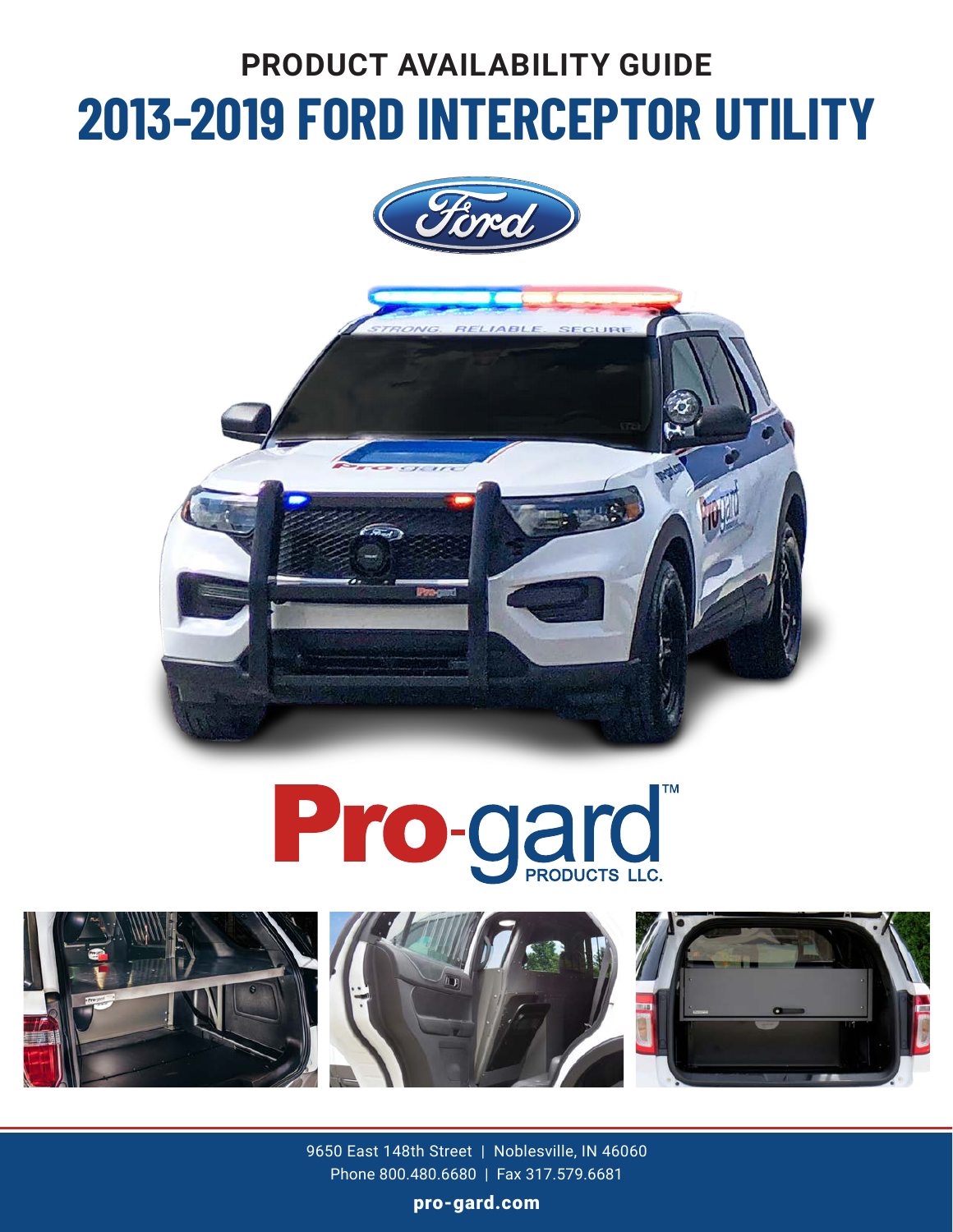# **PRODUCT AVAILABILITY GUIDE 2013-2019 FORD INTERCEPTOR UTILITY**









9650 East 148th Street | Noblesville, IN 46060 Phone 800.480.6680 | Fax 317.579.6681

pro-gard.com